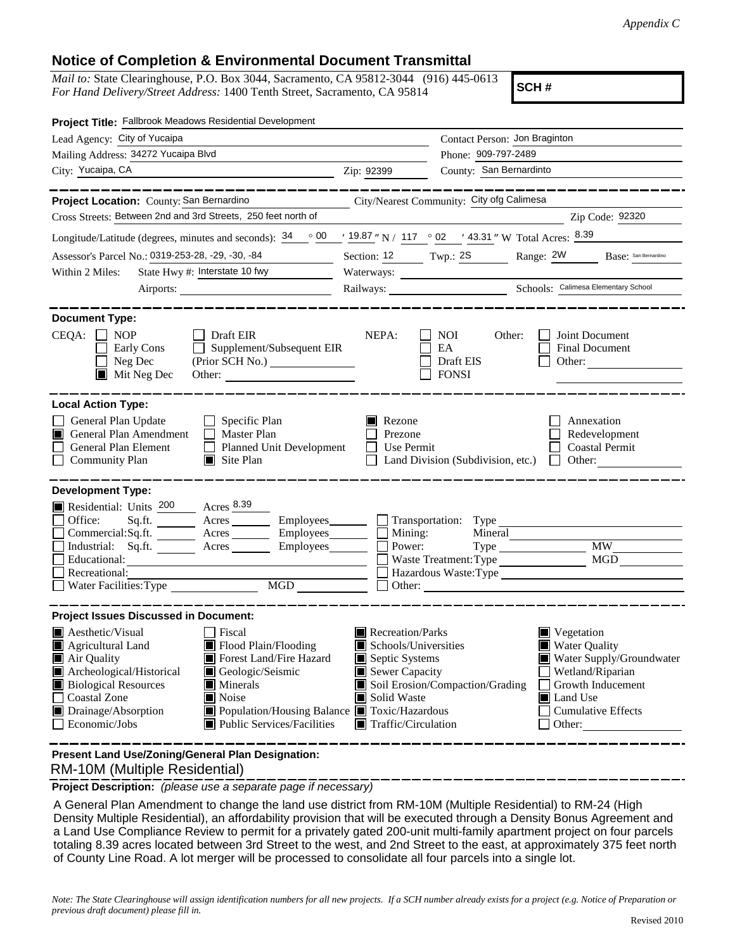## **Notice of Completion & Environmental Document Transmittal**

*Mail to:* State Clearinghouse, P.O. Box 3044, Sacramento, CA 95812-3044 (916) 445-0613 *For Hand Delivery/Street Address:* 1400 Tenth Street, Sacramento, CA 95814

**SCH #**

| Project Title: Fallbrook Meadows Residential Development                                                                                                                                           |                                            |                                                                    |                                                                                |
|----------------------------------------------------------------------------------------------------------------------------------------------------------------------------------------------------|--------------------------------------------|--------------------------------------------------------------------|--------------------------------------------------------------------------------|
| Lead Agency: City of Yucaipa                                                                                                                                                                       |                                            | Contact Person: Jon Braginton                                      |                                                                                |
| Mailing Address: 34272 Yucaipa Blvd                                                                                                                                                                |                                            | Phone: 909-797-2489                                                |                                                                                |
| City: Yucaipa, CA                                                                                                                                                                                  | Zip: 92399                                 | County: San Bernardinto                                            |                                                                                |
|                                                                                                                                                                                                    |                                            |                                                                    |                                                                                |
| Project Location: County: San Bernardino                                                                                                                                                           |                                            | City/Nearest Community: City ofg Calimesa                          |                                                                                |
| Cross Streets: Between 2nd and 3rd Streets, 250 feet north of                                                                                                                                      |                                            |                                                                    | Zip Code: 92320                                                                |
| Longitude/Latitude (degrees, minutes and seconds): $\frac{34}{100}$ $\frac{00}{19.87}$ N / 117 $\degree$ 02 $\degree$ 43.31 " W Total Acres: $\frac{8.39}{100}$                                    |                                            |                                                                    |                                                                                |
| Assessor's Parcel No.: 0319-253-28, -29, -30, -84<br>$\overline{\phantom{a}}$                                                                                                                      | Section: $12$ Twp.: $2S$                   |                                                                    | Range: 2W<br>Base: San Bernardino                                              |
| State Hwy #: Interstate 10 fwy<br>Within 2 Miles:                                                                                                                                                  |                                            | Waterways:                                                         |                                                                                |
|                                                                                                                                                                                                    |                                            |                                                                    |                                                                                |
| <b>Document Type:</b>                                                                                                                                                                              |                                            |                                                                    |                                                                                |
| CEQA:<br><b>NOP</b><br>$\Box$ Draft EIR<br>Supplement/Subsequent EIR<br>Early Cons<br>Neg Dec<br>$\blacksquare$ Mit Neg Dec                                                                        | NEPA:                                      | <b>NOI</b><br>Other:<br>EA<br>Draft EIS<br><b>FONSI</b>            | Joint Document<br><b>Final Document</b><br>Other:                              |
| <b>Local Action Type:</b>                                                                                                                                                                          |                                            |                                                                    |                                                                                |
| General Plan Update<br>$\Box$ Specific Plan<br>General Plan Amendment<br>$\Box$ Master Plan<br>IП<br>General Plan Element<br>Planned Unit Development<br><b>Community Plan</b><br>$\Box$ Site Plan | Rezone<br>Prezone<br>Use Permit<br>$\perp$ | Land Division (Subdivision, etc.)                                  | Annexation<br>Redevelopment<br><b>Coastal Permit</b><br>Other:<br>$\mathbf{1}$ |
| <b>Development Type:</b>                                                                                                                                                                           |                                            |                                                                    |                                                                                |
| Residential: Units 200 Acres 8.39                                                                                                                                                                  |                                            |                                                                    |                                                                                |
| Office:<br>Sq.ft. ________ Acres _________ Employees _______ __ Transportation: Type                                                                                                               |                                            |                                                                    |                                                                                |
| Commercial:Sq.ft. ________ Acres __________ Employees_________ $\Box$                                                                                                                              | Mining:                                    | Mineral                                                            |                                                                                |
| Industrial: Sq.ft. _______ Acres _______ Employees _______ $\Box$<br>Educational:                                                                                                                  | Power:                                     | Waste Treatment: Type                                              | <b>MW</b><br><b>MGD</b>                                                        |
| Recreational:                                                                                                                                                                                      |                                            |                                                                    | Hazardous Waste:Type                                                           |
| MGD<br>Water Facilities: Type                                                                                                                                                                      | $\Box$                                     | Other:                                                             |                                                                                |
|                                                                                                                                                                                                    |                                            |                                                                    |                                                                                |
| <b>Project Issues Discussed in Document:</b>                                                                                                                                                       |                                            |                                                                    |                                                                                |
| $\blacksquare$ Aesthetic/Visual<br>Fiscal<br>$\blacksquare$ Agricultural Land<br>$\blacksquare$ Flood Plain/Flooding                                                                               | Recreation/Parks                           |                                                                    | $\blacksquare$ Vegetation<br>Water Quality                                     |
| Forest Land/Fire Hazard<br>Air Quality                                                                                                                                                             |                                            | Schools/Universities<br>Septic Systems<br>Water Supply/Groundwater |                                                                                |
| Geologic/Seismic<br>Archeological/Historical                                                                                                                                                       | Sewer Capacity<br>Wetland/Riparian         |                                                                    |                                                                                |
| <b>Biological Resources</b><br>$\blacksquare$ Minerals                                                                                                                                             |                                            | Soil Erosion/Compaction/Grading<br>Growth Inducement               |                                                                                |
| <b>Coastal Zone</b><br>Noise                                                                                                                                                                       | Solid Waste                                |                                                                    | Land Use                                                                       |
| Drainage/Absorption<br>Population/Housing Balance Toxic/Hazardous<br>Public Services/Facilities<br>Economic/Jobs                                                                                   | $\blacksquare$ Traffic/Circulation         |                                                                    | <b>Cumulative Effects</b>                                                      |
|                                                                                                                                                                                                    |                                            |                                                                    | Other:                                                                         |
|                                                                                                                                                                                                    |                                            |                                                                    |                                                                                |

 RM-10M (Multiple Residential) **Present Land Use/Zoning/General Plan Designation:**

**Project Description:** *(please use a separate page if necessary)*

 A General Plan Amendment to change the land use district from RM-10M (Multiple Residential) to RM-24 (High Density Multiple Residential), an affordability provision that will be executed through a Density Bonus Agreement and a Land Use Compliance Review to permit for a privately gated 200-unit multi-family apartment project on four parcels totaling 8.39 acres located between 3rd Street to the west, and 2nd Street to the east, at approximately 375 feet north of County Line Road. A lot merger will be processed to consolidate all four parcels into a single lot.

*Note: The State Clearinghouse will assign identification numbers for all new projects. If a SCH number already exists for a project (e.g. Notice of Preparation or previous draft document) please fill in.*